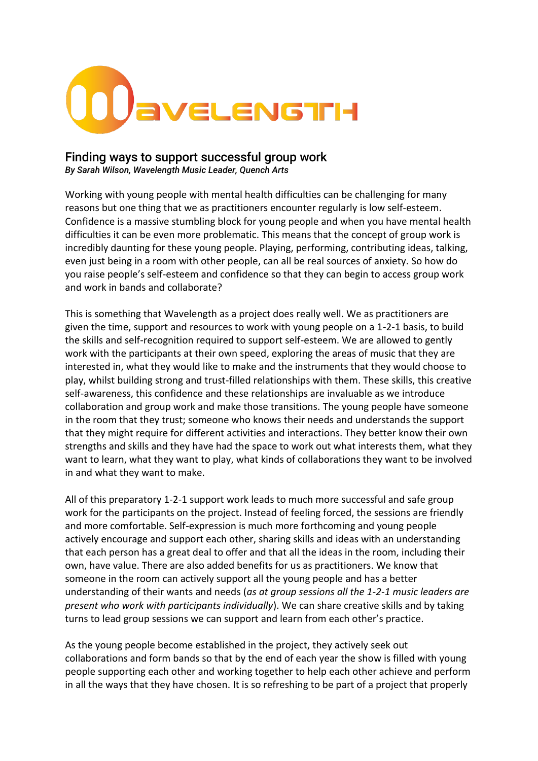

## Finding ways to support successful group work

*By Sarah Wilson, Wavelength Music Leader, Quench Arts*

Working with young people with mental health difficulties can be challenging for many reasons but one thing that we as practitioners encounter regularly is low self-esteem. Confidence is a massive stumbling block for young people and when you have mental health difficulties it can be even more problematic. This means that the concept of group work is incredibly daunting for these young people. Playing, performing, contributing ideas, talking, even just being in a room with other people, can all be real sources of anxiety. So how do you raise people's self-esteem and confidence so that they can begin to access group work and work in bands and collaborate?

This is something that Wavelength as a project does really well. We as practitioners are given the time, support and resources to work with young people on a 1-2-1 basis, to build the skills and self-recognition required to support self-esteem. We are allowed to gently work with the participants at their own speed, exploring the areas of music that they are interested in, what they would like to make and the instruments that they would choose to play, whilst building strong and trust-filled relationships with them. These skills, this creative self-awareness, this confidence and these relationships are invaluable as we introduce collaboration and group work and make those transitions. The young people have someone in the room that they trust; someone who knows their needs and understands the support that they might require for different activities and interactions. They better know their own strengths and skills and they have had the space to work out what interests them, what they want to learn, what they want to play, what kinds of collaborations they want to be involved in and what they want to make.

All of this preparatory 1-2-1 support work leads to much more successful and safe group work for the participants on the project. Instead of feeling forced, the sessions are friendly and more comfortable. Self-expression is much more forthcoming and young people actively encourage and support each other, sharing skills and ideas with an understanding that each person has a great deal to offer and that all the ideas in the room, including their own, have value. There are also added benefits for us as practitioners. We know that someone in the room can actively support all the young people and has a better understanding of their wants and needs (*as at group sessions all the 1-2-1 music leaders are present who work with participants individually*). We can share creative skills and by taking turns to lead group sessions we can support and learn from each other's practice.

As the young people become established in the project, they actively seek out collaborations and form bands so that by the end of each year the show is filled with young people supporting each other and working together to help each other achieve and perform in all the ways that they have chosen. It is so refreshing to be part of a project that properly